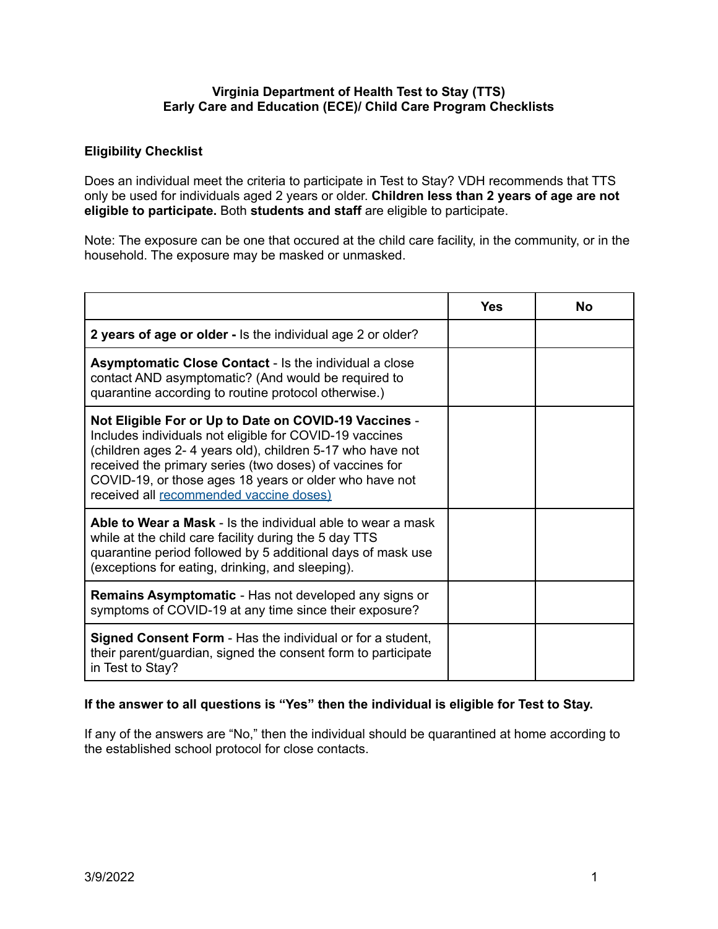## **Virginia Department of Health Test to Stay (TTS) Early Care and Education (ECE)/ Child Care Program Checklists**

## **Eligibility Checklist**

Does an individual meet the criteria to participate in Test to Stay? VDH recommends that TTS only be used for individuals aged 2 years or older. **Children less than 2 years of age are not eligible to participate.** Both **students and staff** are eligible to participate.

Note: The exposure can be one that occured at the child care facility, in the community, or in the household. The exposure may be masked or unmasked.

|                                                                                                                                                                                                                                                                                                                                               | Yes | No |
|-----------------------------------------------------------------------------------------------------------------------------------------------------------------------------------------------------------------------------------------------------------------------------------------------------------------------------------------------|-----|----|
| 2 years of age or older - Is the individual age 2 or older?                                                                                                                                                                                                                                                                                   |     |    |
| <b>Asymptomatic Close Contact - Is the individual a close</b><br>contact AND asymptomatic? (And would be required to<br>quarantine according to routine protocol otherwise.)                                                                                                                                                                  |     |    |
| Not Eligible For or Up to Date on COVID-19 Vaccines -<br>Includes individuals not eligible for COVID-19 vaccines<br>(children ages 2-4 years old), children 5-17 who have not<br>received the primary series (two doses) of vaccines for<br>COVID-19, or those ages 18 years or older who have not<br>received all recommended vaccine doses) |     |    |
| Able to Wear a Mask - Is the individual able to wear a mask<br>while at the child care facility during the 5 day TTS<br>quarantine period followed by 5 additional days of mask use<br>(exceptions for eating, drinking, and sleeping).                                                                                                       |     |    |
| <b>Remains Asymptomatic</b> - Has not developed any signs or<br>symptoms of COVID-19 at any time since their exposure?                                                                                                                                                                                                                        |     |    |
| <b>Signed Consent Form</b> - Has the individual or for a student,<br>their parent/guardian, signed the consent form to participate<br>in Test to Stay?                                                                                                                                                                                        |     |    |

### **If the answer to all questions is "Yes" then the individual is eligible for Test to Stay.**

If any of the answers are "No," then the individual should be quarantined at home according to the established school protocol for close contacts.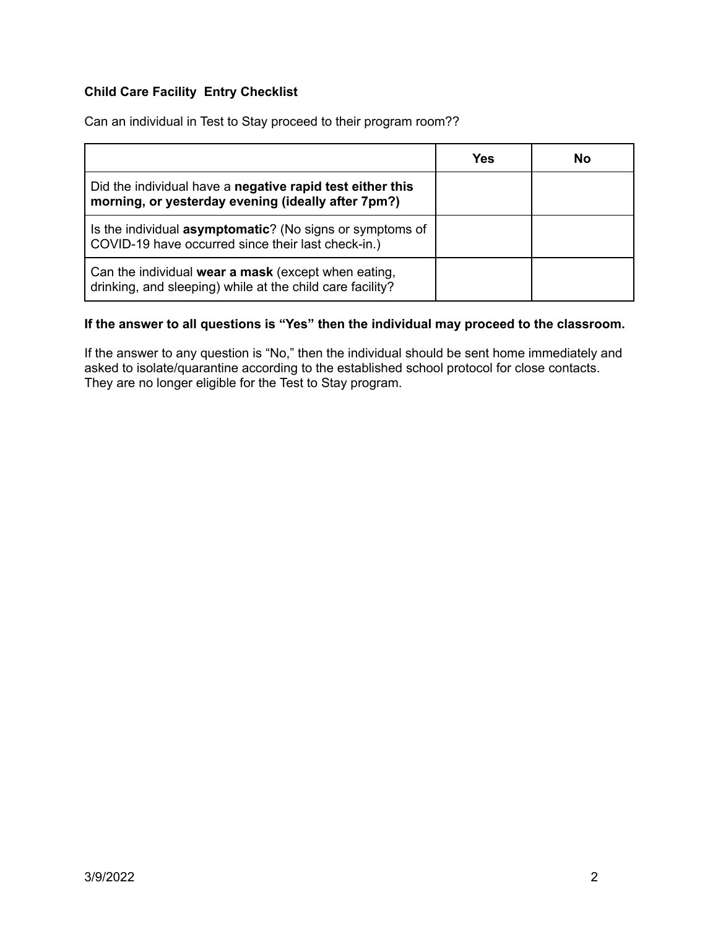# **Child Care Facility Entry Checklist**

Can an individual in Test to Stay proceed to their program room??

|                                                                                                                  | Yes | No |
|------------------------------------------------------------------------------------------------------------------|-----|----|
| Did the individual have a negative rapid test either this<br>morning, or yesterday evening (ideally after 7pm?)  |     |    |
| Is the individual asymptomatic? (No signs or symptoms of<br>COVID-19 have occurred since their last check-in.)   |     |    |
| Can the individual wear a mask (except when eating,<br>drinking, and sleeping) while at the child care facility? |     |    |

# **If the answer to all questions is "Yes" then the individual may proceed to the classroom.**

If the answer to any question is "No," then the individual should be sent home immediately and asked to isolate/quarantine according to the established school protocol for close contacts. They are no longer eligible for the Test to Stay program.